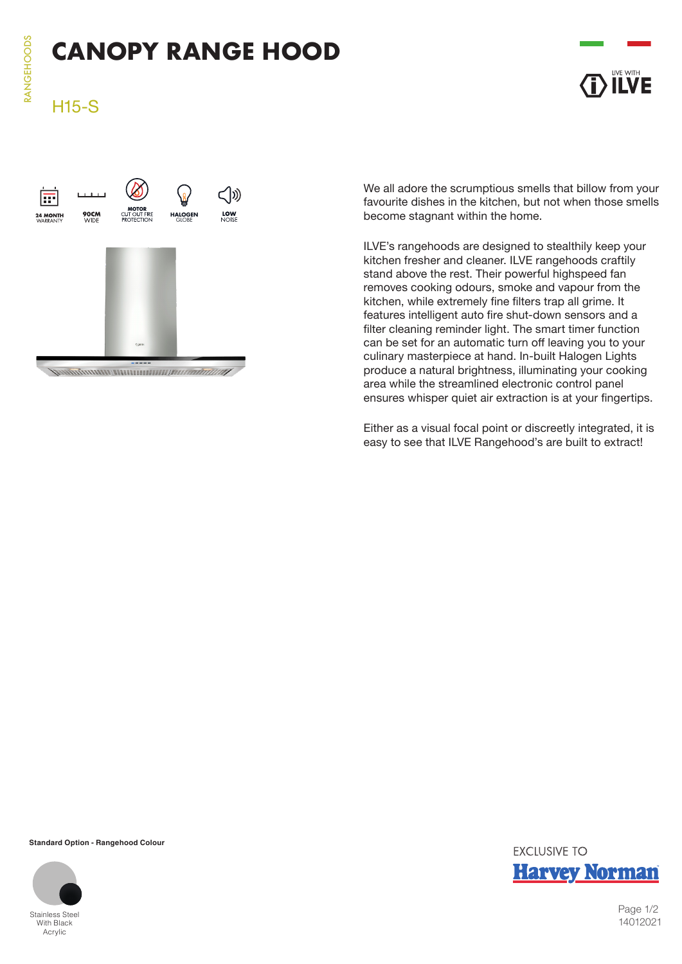# **CANOPY RANGE HOOD**

# H15-S





We all adore the scrumptious smells that billow from your favourite dishes in the kitchen, but not when those smells become stagnant within the home.

ILVE's rangehoods are designed to stealthily keep your kitchen fresher and cleaner. ILVE rangehoods craftily stand above the rest. Their powerful highspeed fan removes cooking odours, smoke and vapour from the kitchen, while extremely fine filters trap all grime. It features intelligent auto fire shut-down sensors and a filter cleaning reminder light. The smart timer function can be set for an automatic turn off leaving you to your culinary masterpiece at hand. In-built Halogen Lights produce a natural brightness, illuminating your cooking area while the streamlined electronic control panel ensures whisper quiet air extraction is at your fingertips.

Either as a visual focal point or discreetly integrated, it is easy to see that ILVE Rangehood's are built to extract!

**Standard Option - Rangehood Colour**